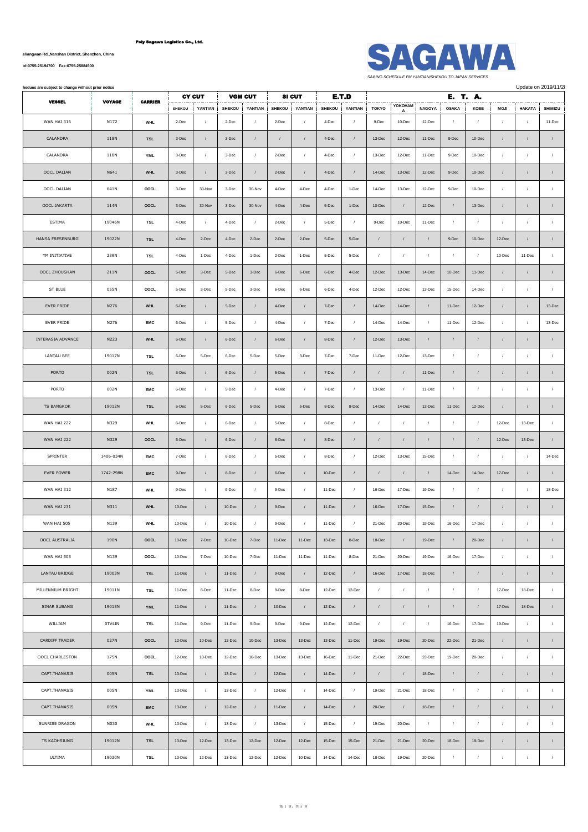**No.1007, Yueliangwan Rd.,Nanshan District, Shenzhen, China**

**[Tel:0755-25194700 Fax:0755-25884500](tel:0755-25194700    Fax:0755-25884500)**



**Andues are subject to change without prior notice** Update on 2019/11/21

| <b>VESSEL</b><br><b>VOYAGE</b><br><b>CARRIER</b> |           | <b>CY CUT</b><br><b>VGM CUT</b> |               |            | <b>SI CUT</b><br>E.T.D |            |               |            |               |            | E. T. A.   |              |                  |                 |            |             |               |                  |
|--------------------------------------------------|-----------|---------------------------------|---------------|------------|------------------------|------------|---------------|------------|---------------|------------|------------|--------------|------------------|-----------------|------------|-------------|---------------|------------------|
|                                                  |           |                                 | <b>SHEKOU</b> | YANTIAN    | <b>SHEKOU</b>          | YANTIAN    | <b>SHEKOU</b> | YANTIAN    | <b>SHEKOU</b> | YANTIAN    | TOKYO      | YOKOHAM<br>A | <b>NAGOYA</b>    | <b>OSAKA</b>    | KOBE       | <b>MOJI</b> | <b>HAKATA</b> | SHIMIZU          |
| WAN HAI 316                                      | N172      | <b>WHL</b>                      | 2-Dec         | $\prime$   | 2-Dec                  | $\sqrt{ }$ | 2-Dec         | $\prime$   | 4-Dec         | $\prime$   | 9-Dec      | 10-Dec       | 12-Dec           | $\overline{1}$  | $\prime$   | $\prime$    | $\prime$      | 11-Dec           |
| CALANDRA                                         | 118N      | <b>TSL</b>                      | 3-Dec         | $\sqrt{ }$ | 3-Dec                  | $\prime$   | $\prime$      | $\sqrt{2}$ | 4-Dec         | $\prime$   | 13-Dec     | 12-Dec       | 11-Dec           | 9-Dec           | 10-Dec     | $\sqrt{ }$  | $\prime$      | $\sqrt{2}$       |
| CALANDRA                                         | 118N      | <b>YML</b>                      | 3-Dec         | $\prime$   | $3 - Dec$              | $\prime$   | 2-Dec         | $\sqrt{2}$ | 4-Dec         | $\sqrt{ }$ | 13-Dec     | 12-Dec       | 11-Dec           | 9-Dec           | 10-Dec     | $\sqrt{ }$  |               | $\sqrt{ }$       |
| OOCL DALIAN                                      | N641      | <b>WHL</b>                      | $3-Dec$       | $\sqrt{ }$ | 3-Dec                  | $\prime$   | $2 - Dec$     | $\sqrt{2}$ | 4-Dec         | $\sqrt{ }$ | 14-Dec     | 13-Dec       | 12-Dec           | 9-Dec           | 10-Dec     | $\sqrt{ }$  | $\prime$      | $\sqrt{2}$       |
| OOCL DALIAN                                      | 641N      | OOCL                            | 3-Dec         | 30-Nov     | 3-Dec                  | 30-Nov     | 4-Dec         | 4-Dec      | 4-Dec         | 1-Dec      | 14-Dec     | 13-Dec       | 12-Dec           | 9-Dec           | 10-Dec     | $\sqrt{ }$  | $\prime$      | $\sqrt{ }$       |
| OOCL JAKARTA                                     | 114N      | OOCL                            | $3$ -Dec      | 30-Nov     | $3 - Dec$              | 30-Nov     | 4-Dec         | 4-Dec      | $5 - Dec$     | 1-Dec      | $10 - Dec$ |              | 12-Dec           | $\bigg  \bigg $ | 13-Dec     | $\prime$    |               | $\sqrt{2}$       |
| ESTIMA                                           | 19046N    | <b>TSL</b>                      | 4-Dec         | $\prime$   | 4-Dec                  | $\sqrt{ }$ | 2-Dec         | $\sqrt{2}$ | 5-Dec         | $\prime$   | $9-Dec$    | 10-Dec       | 11-Dec           | $\sqrt{ }$      | $\prime$   | $\prime$    | $\prime$      | $\prime$         |
| HANSA FRESENBURG                                 | 19022N    | <b>TSL</b>                      | 4-Dec         | $2$ -Dec   | 4-Dec                  | $2 - Dec$  | 2-Dec         | 2-Dec      | 5-Dec         | 5-Dec      | $\prime$   | $\prime$     | $\boldsymbol{I}$ | 9-Dec           | 10-Dec     | 12-Dec      | $\prime$      | $\cal I$         |
| YM INITIATIVE                                    | 239N      | <b>TSL</b>                      | 4-Dec         | 1-Dec      | 4-Dec                  | 1-Dec      | 2-Dec         | 1-Dec      | 5-Dec         | 5-Dec      | $\prime$   | $\prime$     | $\prime$         | $\prime$        | $\prime$   | 10-Dec      | $11 - Dec$    | $\sqrt{2}$       |
| OOCL ZHOUSHAN                                    | 211N      | OOCL                            | 5-Dec         | 3-Dec      | 5-Dec                  | $3-Dec$    | 6-Dec         | 6-Dec      | 6-Dec         | 4-Dec      | 12-Dec     | 13-Dec       | 14-Dec           | 10-Dec          | 11-Dec     | $\sqrt{ }$  | $\prime$      | $\sqrt{ }$       |
| ST BLUE                                          | 055N      | OOCL                            | 5-Dec         | 3-Dec      | 5-Dec                  | 3-Dec      | 6-Dec         | 6-Dec      | 6-Dec         | 4-Dec      | 12-Dec     | 12-Dec       | 13-Dec           | 15-Dec          | $14 - Dec$ | $\prime$    | $\prime$      | $\prime$         |
| EVER PRIDE                                       | N276      | <b>WHL</b>                      | $6 - Dec$     | $\prime$   | 5-Dec                  | $\prime$   | 4-Dec         | $\prime$   | 7-Dec         | $\prime$   | 14-Dec     | 14-Dec       | $\sqrt{2}$       | 11-Dec          | 12-Dec     | $\prime$    | $\prime$      | 13-Dec           |
| <b>EVER PRIDE</b>                                | N276      | EMC                             | 6-Dec         | $\prime$   | 5-Dec                  | $\sqrt{2}$ | 4-Dec         | $\sqrt{ }$ | 7-Dec         | $\sqrt{2}$ | 14-Dec     | 14-Dec       | $\boldsymbol{I}$ | 11-Dec          | 12-Dec     | $\sqrt{ }$  | $\prime$      | 13-Dec           |
| INTERASIA ADVANCE                                | N223      | <b>WHL</b>                      | 6-Dec         | $\sqrt{ }$ | 6-Dec                  | $\sqrt{ }$ | 6-Dec         | $\sqrt{2}$ | 8-Dec         | $\sqrt{ }$ | 12-Dec     | 13-Dec       | $\prime$         | $\cal I$        | $\prime$   | $\sqrt{ }$  | $\prime$      | $\sqrt{2}$       |
| LANTAU BEE                                       | 19017N    | <b>TSL</b>                      | 6-Dec         | 5-Dec      | 6-Dec                  | 5-Dec      | 5-Dec         | 3-Dec      | 7-Dec         | 7-Dec      | 11-Dec     | 12-Dec       | 13-Dec           | $\sqrt{ }$      | $\prime$   | $\prime$    | $\prime$      | $\sqrt{ }$       |
| PORTO                                            | 002N      | <b>TSL</b>                      | 6-Dec         | $\sqrt{ }$ | 6-Dec                  | $\prime$   | 5-Dec         | $\prime$   | 7-Dec         | $\sqrt{2}$ | $\sqrt{2}$ | $\sqrt{ }$   | 11-Dec           | $\sqrt{ }$      | $\prime$   | $\prime$    | $\prime$      | $\sqrt{2}$       |
| PORTO                                            | 002N      | EMC                             | 6-Dec         | $\prime$   | 5-Dec                  | $\prime$   | 4-Dec         | $\sqrt{ }$ | 7-Dec         |            | 13-Dec     |              | 11-Dec           | $\sqrt{ }$      | $\prime$   | $\sqrt{ }$  |               | $\cal I$         |
| <b>TS BANGKOK</b>                                | 19012N    | <b>TSL</b>                      | 6-Dec         | 5-Dec      | 6-Dec                  | $5 - Dec$  | 5-Dec         | 5-Dec      | 8-Dec         | 8-Dec      | 14-Dec     | 14-Dec       | 13-Dec           | $11-Dec$        | $12 - Dec$ | $\sqrt{ }$  | $\prime$      | $\cal I$         |
| WAN HAI 222                                      | N329      | <b>WHL</b>                      | 6-Dec         | $\prime$   | 6-Dec                  | $\prime$   | 5-Dec         | $\sqrt{ }$ | 8-Dec         | $\sqrt{ }$ | $\sqrt{ }$ | $\prime$     | $\boldsymbol{I}$ | $\cal I$        | $\prime$   | 12-Dec      | 13-Dec        | $\boldsymbol{I}$ |
| WAN HAI 222                                      | N329      | OOCL                            | 6-Dec         | $\prime$   | 6-Dec                  | $\sqrt{ }$ | 6-Dec         | $\prime$   | 8-Dec         | $\prime$   | $\prime$   | $\prime$     | $\sqrt{2}$       | $\prime$        |            | 12-Dec      | 13-Dec        | $\sqrt{ }$       |
| SPRINTER                                         | 1406-034N | EMC                             | 7-Dec         | $\prime$   | 6-Dec                  | $\prime$   | 5-Dec         | $\sqrt{ }$ | 8-Dec         |            | 12-Dec     | 13-Dec       | 15-Dec           | $\sqrt{ }$      | $\prime$   | $\sqrt{ }$  | $\prime$      | 14-Dec           |
| <b>EVER POWER</b>                                | 1742-298N | <b>EMC</b>                      | 9-Dec         | $\sqrt{ }$ | 8-Dec                  | $\sqrt{2}$ | 6-Dec         | $\sqrt{2}$ | 10-Dec        | $\prime$   | $\prime$   | $\prime$     | $\sqrt{2}$       | 14-Dec          | 14-Dec     | 17-Dec      | $\prime$      | $\sqrt{2}$       |
| WAN HAI 312                                      | N187      | <b>WHL</b>                      | 9-Dec         | $\prime$   | 9-Dec                  | $\prime$   | 9-Dec         | $\sqrt{ }$ | 11-Dec        | $\prime$   | 16-Dec     | 17-Dec       | 19-Dec           | $\sqrt{ }$      | $\prime$   | $\prime$    | $\prime$      | 18-Dec           |
| WAN HAI 231                                      | N311      | <b>WHL</b>                      | 10-Dec        | $\sqrt{ }$ | 10-Dec                 | $\sqrt{ }$ | $9 - Dec$     | $\sqrt{2}$ | $11-Dec$      | $\sqrt{ }$ | 16-Dec     | 17-Dec       | 15-Dec           | $\overline{I}$  |            | $\sqrt{ }$  | $\prime$      | $\sqrt{ }$       |
| WAN HAI 505                                      | N139      | <b>WHL</b>                      | 10-Dec        | $\prime$   | 10-Dec                 | $\prime$   | $9 - Dec$     | $\prime$   | 11-Dec        | $\prime$   | 21-Dec     | 20-Dec       | 19-Dec           | 16-Dec          | 17-Dec     | $\sqrt{ }$  | $\prime$      | $\sqrt{2}$       |
| OOCL AUSTRALIA                                   | 190N      | OOCL                            | 10-Dec        | 7-Dec      | 10-Dec                 | 7-Dec      | 11-Dec        | 11-Dec     | 13-Dec        | 8-Dec      | 18-Dec     | $\prime$     | 19-Dec           | $\cal I$        | 20-Dec     | $\prime$    | $\sqrt{2}$    | $\boldsymbol{I}$ |
| WAN HAI 505                                      | N139      | OOCL                            | 10-Dec        | 7-Dec      | 10-Dec                 | 7-Dec      | 11-Dec        | 11-Dec     | 11-Dec        | 8-Dec      | 21-Dec     | 20-Dec       | 19-Dec           | 16-Dec          | 17-Dec     | $\sqrt{ }$  | $\prime$      | $\sqrt{2}$       |
| LANTAU BRIDGE                                    | 19003N    | <b>TSL</b>                      | 11-Dec        | $\prime$   | 11-Dec                 | $\prime$   | $9 - Dec$     | $\prime$   | 12-Dec        |            | 16-Dec     | 17-Dec       | 18-Dec           | $\cal I$        |            | $\prime$    | $\prime$      | $\sqrt{2}$       |
| MILLENNIUM BRIGHT                                | 19011N    | <b>TSL</b>                      | 11-Dec        | 8-Dec      | 11-Dec                 | 8-Dec      | 9-Dec         | 8-Dec      | 12-Dec        | 12-Dec     | $\sqrt{ }$ | $\prime$     | $\sqrt{2}$       | $\overline{1}$  | $\prime$   | 17-Dec      | 18-Dec        | $\sqrt{2}$       |
| SINAR SUBANG                                     | 19015N    | <b>YML</b>                      | 11-Dec        | $\prime$   | 11-Dec                 | $\prime$   | 10-Dec        | $\prime$   | 12-Dec        | $\prime$   | $\prime$   | $\sqrt{ }$   | $\boldsymbol{I}$ | $\cal I$        | $\prime$   | 17-Dec      | 18-Dec        | $\prime$         |
| WILLIAM                                          | 0TV4IN    | <b>TSL</b>                      | 11-Dec        | 9-Dec      | 11-Dec                 | $9 - Dec$  | 9-Dec         | 9-Dec      | 12-Dec        | 12-Dec     | $\sqrt{ }$ | $\sqrt{ }$   | $\prime$         | 16-Dec          | 17-Dec     | 19-Dec      | $\prime$      | $\sqrt{ }$       |
| CARDIFF TRADER                                   | 027N      | OOCL                            | 12-Dec        | 10-Dec     | 12-Dec                 | 10-Dec     | 13-Dec        | 13-Dec     | 13-Dec        | 11-Dec     | 19-Dec     | 19-Dec       | 20-Dec           | 22-Dec          | 21-Dec     | $\prime$    | $\prime$      | $\sqrt{2}$       |
| OOCL CHARLESTON                                  | 175N      | OOCL                            | 12-Dec        | 10-Dec     | 12-Dec                 | 10-Dec     | 13-Dec        | 13-Dec     | 16-Dec        | 11-Dec     | 21-Dec     | 22-Dec       | 23-Dec           | 19-Dec          | $20 - Dec$ | $\sqrt{ }$  | $\prime$      | $\sqrt{2}$       |
| CAPT.THANASIS                                    | 005N      | <b>TSL</b>                      | 13-Dec        | $\prime$   | 13-Dec                 | $\prime$   | 12-Dec        | $\prime$   | 14-Dec        | $\prime$   | $\sqrt{ }$ |              | 18-Dec           | $\bigg  \bigg $ |            | $\sqrt{ }$  | $\prime$      | $\sqrt{2}$       |
| CAPT.THANASIS                                    | 005N      | YML                             | 13-Dec        | $\sqrt{ }$ | 13-Dec                 | $\prime$   | 12-Dec        | $\sqrt{ }$ | 14-Dec        | $\sqrt{2}$ | 19-Dec     | 21-Dec       | 18-Dec           | $\cal I$        | $\sqrt{ }$ | $\sqrt{ }$  | $\prime$      | $\sqrt{2}$       |
| CAPT.THANASIS                                    | 005N      | <b>EMC</b>                      | $13 - Dec$    | $\sqrt{ }$ | 12-Dec                 | $\prime$   | $11 - Dec$    | $\sqrt{2}$ | 14-Dec        | $\sqrt{ }$ | 20-Dec     | $\sqrt{ }$   | 18-Dec           | $\cal I$        | $\prime$   | $\cal I$    | $\sqrt{ }$    | $\prime$         |
| SUNRISE DRAGON                                   | N030      | <b>WHL</b>                      | 13-Dec        | $\prime$   | 13-Dec                 | $\prime$   | 13-Dec        | $\sqrt{ }$ | 15-Dec        | $\prime$   | 19-Dec     | 20-Dec       | $\boldsymbol{I}$ | $\sqrt{ }$      | $\prime$   | $\prime$    | $\prime$      | $\sqrt{ }$       |
| TS KAOHSIUNG                                     | 19012N    | <b>TSL</b>                      | 13-Dec        | 12-Dec     | 13-Dec                 | 12-Dec     | 12-Dec        | 12-Dec     | 15-Dec        | 15-Dec     | 21-Dec     | 21-Dec       | $20 - Dec$       | 18-Dec          | 19-Dec     | $\sqrt{ }$  | $\prime$      | $\sqrt{2}$       |
| ULTIMA                                           | 19030N    | <b>TSL</b>                      | 13-Dec        | 12-Dec     | 13-Dec                 | 12-Dec     | 12-Dec        | 10-Dec     | 14-Dec        | 14-Dec     | 18-Dec     | 19-Dec       | 20-Dec           | $\cal I$        | $\prime$   | $\sqrt{ }$  | $\sqrt{2}$    | $\prime$         |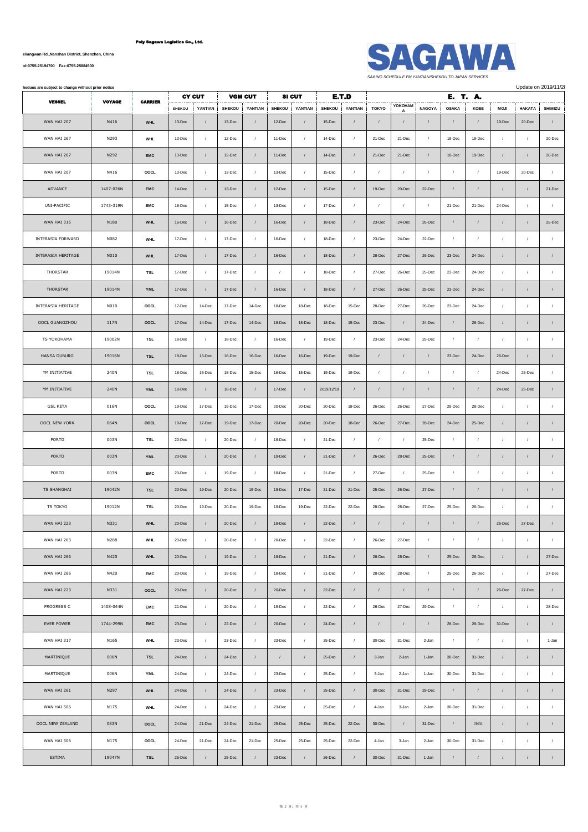**No.1007, Yueliangwan Rd.,Nanshan District, Shenzhen, China**

**[Tel:0755-25194700 Fax:0755-25884500](tel:0755-25194700    Fax:0755-25884500)**



**All below schedues are subject to change without prior notice** Update on 2019/11/28

| <b>VESSEL</b>       | <b>VOYAGE</b> | <b>CARRIER</b> |               | <b>CY CUT</b>  |               | <b>VGM CUT</b> |               | <b>SI CUT</b>    | E.T.D         |            |                |                |                  | E. T. A.       |            |                  |               |            |  |
|---------------------|---------------|----------------|---------------|----------------|---------------|----------------|---------------|------------------|---------------|------------|----------------|----------------|------------------|----------------|------------|------------------|---------------|------------|--|
|                     |               |                | <b>SHEKOU</b> | YANTIAN        | <b>SHEKOU</b> | YANTIAN        | <b>SHEKOU</b> | YANTIAN          | <b>SHEKOU</b> | YANTIAN    | <b>TOKYO</b>   | YOKOHAM        | <b>NAGOYA</b>    | <b>OSAKA</b>   | KOBE       | <b>MOJI</b>      | <b>HAKATA</b> | SHIMIZU    |  |
| WAN HAI 207         | N416          | <b>WHL</b>     | 13-Dec        | $\prime$       | 13-Dec        | $\prime$       | 12-Dec        | $\prime$         | 15-Dec        |            | $\sqrt{2}$     |                | $\sqrt{2}$       | $\sqrt{2}$     |            | 19-Dec           | $20 - Dec$    | $\sqrt{2}$ |  |
| WAN HAI 267         | N293          | <b>WHL</b>     | 13-Dec        | $\prime$       | 12-Dec        | $\sqrt{ }$     | 11-Dec        | $\sqrt{2}$       | 14-Dec        | $\sqrt{ }$ | 21-Dec         | 21-Dec         | $\prime$         | 18-Dec         | 19-Dec     | $\prime$         |               | 20-Dec     |  |
| WAN HAI 267         | N292          | <b>EMC</b>     | 13-Dec        | $\prime$       | 12-Dec        | $\sqrt{ }$     | 11-Dec        | $\prime$         | 14-Dec        | $\prime$   | 21-Dec         | 21-Dec         | $\sqrt{2}$       | 18-Dec         | 19-Dec     | $\prime$         |               | 20-Dec     |  |
| WAN HAI 207         | N416          | OOCL           | 13-Dec        | $\sqrt{ }$     | 13-Dec        | $\sqrt{ }$     | 13-Dec        | $\sqrt{ }$       | 15-Dec        | $\prime$   | $\cal I$       | $\prime$       | $\prime$         | $\cal I$       |            | 19-Dec           | 20-Dec        | $\sqrt{2}$ |  |
| ADVANCE             | 1407-026N     | <b>EMC</b>     | $14 - Dec$    | $\sqrt{ }$     | 13-Dec        | $\prime$       | 12-Dec        | $\sqrt{2}$       | 15-Dec        | $\sqrt{ }$ | 19-Dec         | 20-Dec         | $22 - Dec$       | $\overline{I}$ |            | $\sqrt{ }$       | $\prime$      | 21-Dec     |  |
| UNI-PACIFIC         | 1743-319N     | <b>EMC</b>     | 16-Dec        | $\overline{1}$ | 15-Dec        | $\prime$       | 13-Dec        | $\prime$         | 17-Dec        | $\prime$   | $\prime$       | $\overline{1}$ | $\sqrt{ }$       | 21-Dec         | 21-Dec     | 24-Dec           | $\prime$      | $\prime$   |  |
| WAN HAI 315         | N180          | <b>WHL</b>     | 16-Dec        | $\prime$       | 16-Dec        | $\prime$       | 16-Dec        | $\prime$         | 18-Dec        | $\prime$   | 23-Dec         | 24-Dec         | 26-Dec           | $\sqrt{ }$     |            | $\prime$         | $\prime$      | 25-Dec     |  |
| INTERASIA FORWARD   | N082          | <b>WHL</b>     | 17-Dec        | $\prime$       | 17-Dec        | $\sqrt{ }$     | 16-Dec        | $\sqrt{2}$       | 18-Dec        | $\sqrt{ }$ | 23-Dec         | 24-Dec         | 22-Dec           | $\cal I$       |            | $\prime$         |               | $\prime$   |  |
| INTERASIA HERITAGE  | N010          | <b>WHL</b>     | 17-Dec        | $\sqrt{ }$     | 17-Dec        | $\sqrt{ }$     | 16-Dec        | $\sqrt{2}$       | 18-Dec        |            | 28-Dec         | 27-Dec         | 26-Dec           | 23-Dec         | 24-Dec     | $\sqrt{ }$       |               | $\sqrt{ }$ |  |
| THORSTAR            | 19014N        | <b>TSL</b>     | 17-Dec        | $\sqrt{ }$     | 17-Dec        | $\prime$       | $\prime$      | $\sqrt{ }$       | 18-Dec        | $\prime$   | 27-Dec         | 26-Dec         | 25-Dec           | 23-Dec         | 24-Dec     | $\prime$         | $\prime$      | $\cal I$   |  |
| THORSTAR            | 19014N        | <b>YML</b>     | 17-Dec        | $\sqrt{ }$     | 17-Dec        | $\sqrt{ }$     | 16-Dec        | $\prime$         | 18-Dec        | $\prime$   | 27-Dec         | 26-Dec         | 25-Dec           | 23-Dec         | 24-Dec     | $\sqrt{ }$       |               | $\sqrt{ }$ |  |
| INTERASIA HERITAGE  | N010          | OOCL           | 17-Dec        | 14-Dec         | 17-Dec        | 14-Dec         | 18-Dec        | 18-Dec           | 18-Dec        | 15-Dec     | 28-Dec         | 27-Dec         | 26-Dec           | 23-Dec         | 24-Dec     | $\sqrt{ }$       |               | $\prime$   |  |
| OOCL GUANGZHOU      | 117N          | OOCL           | 17-Dec        | 14-Dec         | 17-Dec        | 14-Dec         | 18-Dec        | 18-Dec           | 18-Dec        | 15-Dec     | 23-Dec         | $\prime$       | 24-Dec           | $\sqrt{ }$     | 26-Dec     | $\prime$         | $\prime$      | $\sqrt{2}$ |  |
| TS YOKOHAMA         | 19002N        | <b>TSL</b>     | 18-Dec        | $\prime$       | $18 - Dec$    | $\prime$       | 16-Dec        | $\prime$         | 19-Dec        | $\prime$   | 23-Dec         | 24-Dec         | 25-Dec           | $\overline{I}$ | $\prime$   | $\prime$         | $\prime$      | $\sqrt{ }$ |  |
| <b>HANSA DUBURG</b> | 19016N        | <b>TSL</b>     | 18-Dec        | 16-Dec         | 18-Dec        | 16-Dec         | 16-Dec        | 16-Dec           | 19-Dec        | 19-Dec     | $\sqrt{ }$     | $\prime$       | $\sqrt{2}$       | 23-Dec         | 24-Dec     | 26-Dec           | $\prime$      | $\sqrt{2}$ |  |
| YM INITIATIVE       | 240N          | <b>TSL</b>     | 18-Dec        | 15-Dec         | 18-Dec        | 15-Dec         | 16-Dec        | 15-Dec           | 19-Dec        | 19-Dec     | $\cal I$       | $\sqrt{ }$     | $\prime$         | $\sqrt{ }$     | $\prime$   | 24-Dec           | 25-Dec        | $\cal I$   |  |
| YM INITIATIVE       | 240N          | <b>YML</b>     | 18-Dec        | $\prime$       | 18-Dec        | $\prime$       | 17-Dec        | $\prime$         | 2019/12/19    |            | $\prime$       | $\prime$       | $\sqrt{2}$       | $\overline{I}$ |            | 24-Dec           | 25-Dec        | $\sqrt{ }$ |  |
| <b>GSL KETA</b>     | 016N          | OOCL           | 19-Dec        | 17-Dec         | 19-Dec        | 17-Dec         | 20-Dec        | 20-Dec           | 20-Dec        | 18-Dec     | 26-Dec         | 26-Dec         | 27-Dec           | 29-Dec         | 28-Dec     | $\sqrt{ }$       | $\prime$      | $\sqrt{ }$ |  |
| OOCL NEW YORK       | 064N          | OOCL           | 19-Dec        | 17-Dec         | 19-Dec        | 17-Dec         | 20-Dec        | 20-Dec           | 20-Dec        | 18-Dec     | 26-Dec         | 27-Dec         | 28-Dec           | 24-Dec         | 25-Dec     | $\prime$         | $\prime$      | $\sqrt{ }$ |  |
| PORTO               | 003N          | <b>TSL</b>     | 20-Dec        | $\sqrt{ }$     | 20-Dec        | $\sqrt{ }$     | 19-Dec        | $\sqrt{2}$       | 21-Dec        | $\prime$   | $\overline{1}$ | $\overline{1}$ | 25-Dec           | $\overline{1}$ | $\prime$   | $\prime$         | $\prime$      | $\sqrt{ }$ |  |
| PORTO               | 003N          | <b>YML</b>     | 20-Dec        | $\sqrt{ }$     | 20-Dec        | $\prime$       | 19-Dec        | $\prime$         | 21-Dec        | $\prime$   | 26-Dec         | 28-Dec         | 25-Dec           | $\cal I$       | $\prime$   | $\sqrt{ }$       | $\prime$      | $\prime$   |  |
| PORTO               | 003N          | <b>EMC</b>     | 20-Dec        | $\prime$       | 19-Dec        | $\sqrt{ }$     | 18-Dec        | $\sqrt{ }$       | 21-Dec        | $\sqrt{ }$ | 27-Dec         | $\overline{1}$ | 25-Dec           | $\sqrt{ }$     |            | $\prime$         | $\prime$      | $\cal I$   |  |
| <b>TS SHANGHAI</b>  | 19042N        | <b>TSL</b>     | 20-Dec        | 19-Dec         | 20-Dec        | 19-Dec         | 19-Dec        | 17-Dec           | 21-Dec        | 21-Dec     | 25-Dec         | 26-Dec         | 27-Dec           | $\sqrt{ }$     |            | $\sqrt{ }$       | $\prime$      | $\sqrt{2}$ |  |
| TS TOKYO            | 19012N        | <b>TSL</b>     | 20-Dec        | 19-Dec         | 20-Dec        | 19-Dec         | 19-Dec        | 19-Dec           | 22-Dec        | 22-Dec     | 28-Dec         | 28-Dec         | 27-Dec           | 25-Dec         | 26-Dec     | $\prime$         | $\prime$      | $\prime$   |  |
| WAN HAI 223         | N331          | <b>WHL</b>     | $20 - Dec$    | $\prime$       | 20-Dec        | $\prime$       | 19-Dec        | $\prime$         | 22-Dec        |            | $\sqrt{2}$     |                | $\sqrt{2}$       | $\cal I$       |            | 26-Dec           | 27-Dec        | $\sqrt{ }$ |  |
| WAN HAI 263         | N288          | <b>WHL</b>     | 20-Dec        | $\prime$       | 20-Dec        | $\prime$       | 20-Dec        | $\sqrt{2}$       | 22-Dec        | $\prime$   | 26-Dec         | 27-Dec         | $\boldsymbol{I}$ | $\cal I$       | $\sqrt{2}$ | $\sqrt{ }$       | $\sqrt{ }$    | $\sqrt{ }$ |  |
| <b>WAN HAI 266</b>  | N420          | <b>WHL</b>     | $20 - Dec$    | $\sqrt{ }$     | 19-Dec        | $\prime$       | 18-Dec        | $\prime$         | 21-Dec        | $\sqrt{2}$ | 28-Dec         | 28-Dec         | $\boldsymbol{I}$ | 25-Dec         | $26 - Dec$ | $\cal I$         | $\sqrt{ }$    | 27-Dec     |  |
| WAN HAI 266         | N420          | EMC            | 20-Dec        | $\prime$       | $19 - Dec$    | $\prime$       | 18-Dec        | $\sqrt{ }$       | 21-Dec        | $\prime$   | 28-Dec         | 28-Dec         | $\boldsymbol{I}$ | 25-Dec         | $26 - Dec$ | $\sqrt{ }$       | $\prime$      | 27-Dec     |  |
| WAN HAI 223         | N331          | OOCL           | $20 - Dec$    | $\sqrt{ }$     | $20 - Dec$    | $\prime$       | 20-Dec        | $\prime$         | 22-Dec        | $\sqrt{2}$ | $\sqrt{2}$     | $\sqrt{ }$     | $\prime$         | $\sqrt{ }$     | $\prime$   | 26-Dec           | 27-Dec        | $\sqrt{2}$ |  |
| PROGRESS C          | 1408-044N     | <b>EMC</b>     | 21-Dec        | $\sqrt{ }$     | 20-Dec        | $\sqrt{2}$     | 19-Dec        | $\sqrt{ }$       | 22-Dec        | $\sqrt{ }$ | 26-Dec         | 27-Dec         | 29-Dec           | $\sqrt{ }$     | $\sqrt{ }$ | $\sqrt{ }$       | $\prime$      | 28-Dec     |  |
| <b>EVER POWER</b>   | 1744-299N     | EMC            | $23 - Dec$    | $\sqrt{ }$     | 22-Dec        | $\sqrt{2}$     | 20-Dec        | $\prime$         | 24-Dec        | $\prime$   | $\sqrt{ }$     | $\prime$       | $\sqrt{2}$       | 28-Dec         | 28-Dec     | 31-Dec           | $\prime$      | $\sqrt{2}$ |  |
| WAN HAI 317         | N165          | <b>WHL</b>     | 23-Dec        | $\sqrt{ }$     | 23-Dec        | $\prime$       | 23-Dec        | $\boldsymbol{I}$ | 25-Dec        | $\sqrt{2}$ | 30-Dec         | 31-Dec         | 2-Jan            | $\cal I$       | $\prime$   | $\sqrt{ }$       | $\sqrt{2}$    | 1-Jan      |  |
| MARTINIQUE          | 006N          | <b>TSL</b>     | 24-Dec        | $\sqrt{ }$     | 24-Dec        | $\prime$       | $\sqrt{ }$    | $\sqrt{2}$       | 25-Dec        | $\sqrt{ }$ | 3-Jan          | 2-Jan          | 1-Jan            | 30-Dec         | $31 - Dec$ | $\sqrt{ }$       | $\prime$      | $\sqrt{2}$ |  |
| MARTINIQUE          | 006N          | YML            | 24-Dec        | $\prime$       | 24-Dec        | $\prime$       | 23-Dec        | $\sqrt{2}$       | 25-Dec        | $\sqrt{ }$ | 3-Jan          | 2-Jan          | 1-Jan            | 30-Dec         | $31 - Dec$ | $\prime$         | $\prime$      | $\sqrt{2}$ |  |
| WAN HAI 261         | N297          | <b>WHL</b>     | 24-Dec        | $\sqrt{ }$     | 24-Dec        | $\prime$       | 23-Dec        | $\sqrt{2}$       | 25-Dec        | $\sqrt{2}$ | 30-Dec         | 31-Dec         | 29-Dec           | $\sqrt{2}$     | $\prime$   | $\prime$         | $\prime$      | $\prime$   |  |
| WAN HAI 506         | N175          | <b>WHL</b>     | 24-Dec        | $\prime$       | 24-Dec        | $\sqrt{ }$     | 23-Dec        | $\boldsymbol{f}$ | 25-Dec        | $\sqrt{2}$ | 4-Jan          | 3-Jan          | 2-Jan            | 30-Dec         | 31-Dec     | $\sqrt{ }$       | $\sqrt{ }$    | $\sqrt{2}$ |  |
| OOCL NEW ZEALAND    | 083N          | OOCL           | 24-Dec        | 21-Dec         | 24-Dec        | 21-Dec         | 25-Dec        | 25-Dec           | 25-Dec        | 22-Dec     | $30 - Dec$     | $\sqrt{ }$     | $31 - Dec$       | $\cal I$       | #N/A       | $\sqrt{ }$       | $\sqrt{ }$    | $\sqrt{2}$ |  |
| WAN HAI 506         | N175          | OOCL           | 24-Dec        | 21-Dec         | 24-Dec        | 21-Dec         | 25-Dec        | 25-Dec           | 25-Dec        | 22-Dec     | 4-Jan          | 3-Jan          | 2-Jan            | 30-Dec         | 31-Dec     | $\boldsymbol{I}$ | $\prime$      | $\prime$   |  |
| ESTIMA              | 19047N        | <b>TSL</b>     | 25-Dec        | $\sqrt{ }$     | 25-Dec        | $\sqrt{2}$     | 23-Dec        | $\sqrt{2}$       | 26-Dec        | $\sqrt{ }$ | $30 - Dec$     | 31-Dec         | 1-Jan            | $\cal I$       | $\prime$   | $\sqrt{ }$       | $\sqrt{ }$    | $\cal I$   |  |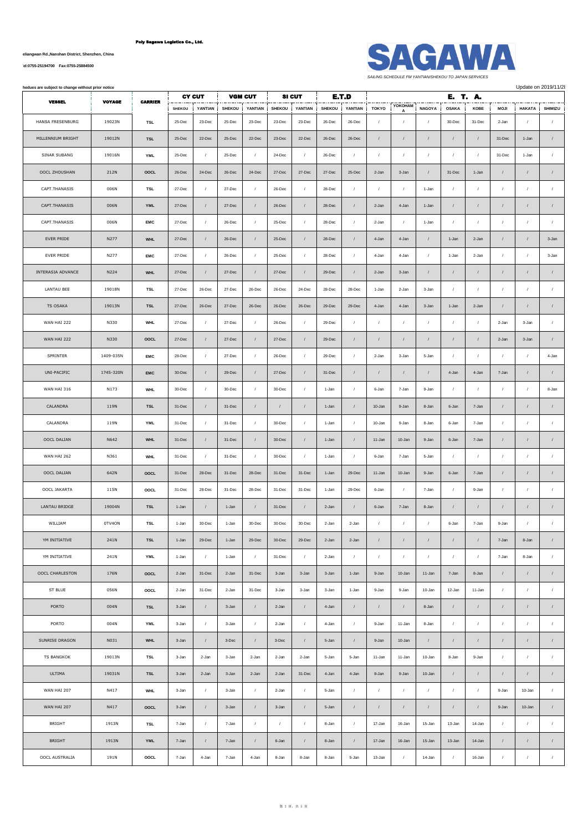**No.1007, Yueliangwan Rd.,Nanshan District, Shenzhen, China**

**[Tel:0755-25194700 Fax:0755-25884500](tel:0755-25194700    Fax:0755-25884500)**



| hedues are subject to change without prior notice | <b>CY CUT</b><br><b>VGM CUT</b> |                |               |                  |               | <b>SI CUT</b><br>E.T.D |               |            |        | E. T. A.       |                |                |               |                |            | Update on 2019/11/2 |                  |                  |
|---------------------------------------------------|---------------------------------|----------------|---------------|------------------|---------------|------------------------|---------------|------------|--------|----------------|----------------|----------------|---------------|----------------|------------|---------------------|------------------|------------------|
| <b>VESSEL</b>                                     | <b>VOYAGE</b>                   | <b>CARRIER</b> | <b>SHEKOU</b> | YANTIAN          | <b>SHEKOU</b> | YANTIAN                | <b>SHEKOU</b> | YANTIAN    | SHEKOU | YANTIAN        | <b>TOKYO</b>   | YOKOHAM        | <b>NAGOYA</b> | <b>OSAKA</b>   | KOBE       | <b>MOJI</b>         | HAKATA           | SHIMIZU          |
| HANSA FRESENBURG                                  | 19023N                          | TSL            | 25-Dec        | 23-Dec           | 25-Dec        | 23-Dec                 | 23-Dec        | 23-Dec     | 26-Dec | 26-Dec         | $\prime$       | A<br>$\cal I$  | $\prime$      | 30-Dec         | 31-Dec     | 2-Jan               | 1                | $\prime$         |
| MILLENNIUM BRIGHT                                 | 19012N                          | <b>TSL</b>     | 25-Dec        | 22-Dec           | 25-Dec        | 22-Dec                 | 23-Dec        | 22-Dec     | 26-Dec | 26-Dec         | $\sqrt{ }$     | $\cal I$       |               | $\sqrt{ }$     | $\sqrt{ }$ | 31-Dec              | 1-Jan            | $\sqrt{ }$       |
| SINAR SUBANG                                      | 19016N                          | <b>YML</b>     | 25-Dec        | $\prime$         | 25-Dec        | $\sqrt{ }$             | 24-Dec        | $\prime$   | 26-Dec | $\prime$       | $\sqrt{ }$     | $\sqrt{ }$     | $\prime$      | $\prime$       | $\prime$   | 31-Dec              | 1-Jan            | $\sqrt{2}$       |
| OOCL ZHOUSHAN                                     | 212N                            | OOCL           | $26 - Dec$    | 24-Dec           | 26-Dec        | 24-Dec                 | 27-Dec        | 27-Dec     | 27-Dec | 25-Dec         | 2-Jan          | 3-Jan          | $\sqrt{ }$    | 31-Dec         | 1-Jan      | $\prime$            | $\prime$         | $\sqrt{2}$       |
| CAPT.THANASIS                                     | 006N                            | TSL            | 27-Dec        | $\prime$         | 27-Dec        | $\sqrt{ }$             | 26-Dec        | $\prime$   | 28-Dec | $\cal I$       | $\prime$       | $\cal I$       | 1-Jan         | $\sqrt{ }$     | $\sqrt{ }$ | $\sqrt{ }$          | $\prime$         | $\cal I$         |
| CAPT.THANASIS                                     | 006N                            | <b>YML</b>     | 27-Dec        | $\prime$         | 27-Dec        | $\sqrt{ }$             | 26-Dec        | $\sqrt{ }$ | 28-Dec | $\prime$       | 2-Jan          | 4-Jan          | 1-Jan         | $\prime$       | $\prime$   | $\prime$            | $\prime$         | $\sqrt{ }$       |
| CAPT.THANASIS                                     | 006N                            | EMC            | 27-Dec        | $\prime$         | 26-Dec        | $\sqrt{ }$             | 25-Dec        | $\sqrt{ }$ | 28-Dec | $\sqrt{ }$     | 2-Jan          | $\sqrt{ }$     | 1-Jan         | $\sqrt{ }$     | $\prime$   | $\prime$            | $\prime$         | $\prime$         |
| EVER PRIDE                                        | N277                            | <b>WHL</b>     | 27-Dec        | $\sqrt{2}$       | 26-Dec        | $\prime$               | 25-Dec        | $\sqrt{ }$ | 28-Dec | $\sqrt{ }$     | 4-Jan          | 4-Jan          | $\cal I$      | 1-Jan          | 2-Jan      | $\prime$            | $\prime$         | 3-Jan            |
| EVER PRIDE                                        | N277                            | EMC            | 27-Dec        | $\prime$         | 26-Dec        | $\sqrt{ }$             | 25-Dec        | $\sqrt{ }$ | 28-Dec | $\cal I$       | 4-Jan          | 4-Jan          | $\prime$      | 1-Jan          | 2-Jan      | $\sqrt{2}$          | $\prime$         | 3-Jan            |
| INTERASIA ADVANCE                                 | N224                            | <b>WHL</b>     | 27-Dec        | $\prime$         | 27-Dec        | $\prime$               | 27-Dec        | $\prime$   | 29-Dec | $\prime$       | 2-Jan          | 3-Jan          | $\prime$      | $\prime$       | $\prime$   | $\prime$            | $\prime$         | $\prime$         |
| LANTAU BEE                                        | 19018N                          | TSL            | 27-Dec        | 26-Dec           | 27-Dec        | 26-Dec                 | 26-Dec        | 24-Dec     | 28-Dec | 28-Dec         | 1-Jan          | 2-Jan          | 3-Jan         | $\sqrt{2}$     | $\sqrt{ }$ | $\sqrt{ }$          | $\prime$         | $\sqrt{ }$       |
| TS OSAKA                                          | 19013N                          | <b>TSL</b>     | 27-Dec        | 26-Dec           | 27-Dec        | 26-Dec                 | 26-Dec        | 26-Dec     | 29-Dec | 29-Dec         | 4-Jan          | 4-Jan          | 3-Jan         | 1-Jan          | 2-Jan      | $\prime$            | $\prime$         | $\sqrt{ }$       |
| WAN HAI 222                                       | N330                            | <b>WHL</b>     | 27-Dec        | $\prime$         | 27-Dec        | $\sqrt{ }$             | 26-Dec        | $\sqrt{ }$ | 29-Dec | $\overline{1}$ | $\overline{1}$ | $\overline{1}$ | $\prime$      | $\overline{1}$ | $\sqrt{ }$ | 2-Jan               | 3-Jan            | $\sqrt{ }$       |
| WAN HAI 222                                       | N330                            | OOCL           | 27-Dec        | $\prime$         | 27-Dec        | $\prime$               | 27-Dec        | $\sqrt{ }$ | 29-Dec | $\sqrt{ }$     | $\sqrt{ }$     | $\cal I$       | $\prime$      | $\sqrt{2}$     | $\prime$   | 2-Jan               | 3-Jan            | $\sqrt{2}$       |
| SPRINTER                                          | 1409-035N                       | EMC            | 28-Dec        | $\prime$         | 27-Dec        | $\sqrt{ }$             | 26-Dec        | $\prime$   | 29-Dec | $\sqrt{ }$     | 2-Jan          | 3-Jan          | 5-Jan         | $\sqrt{2}$     | $\prime$   | $\sqrt{ }$          | $\prime$         | 4-Jan            |
| UNI-PACIFIC                                       | 1745-320N                       | <b>EMC</b>     | $30 - Dec$    | $\sqrt{2}$       | 29-Dec        | $\sqrt{ }$             | 27-Dec        | $\sqrt{ }$ | 31-Dec | $\prime$       | $\sqrt{2}$     | $\cal I$       | $\sqrt{ }$    | 4-Jan          | 4-Jan      | 7-Jan               | $\prime$         | $\prime$         |
| WAN HAI 316                                       | N173                            | <b>WHL</b>     | 30-Dec        | $\prime$         | 30-Dec        | $\sqrt{ }$             | 30-Dec        | $\prime$   | 1-Jan  | $\prime$       | 6-Jan          | 7-Jan          | 9-Jan         | $\prime$       | $\prime$   | $\prime$            | $\prime$         | 8-Jan            |
| CALANDRA                                          | 119N                            | <b>TSL</b>     | $31 - Dec$    | $\prime$         | 31-Dec        | $\sqrt{ }$             |               | $\sqrt{2}$ | 1-Jan  | $\prime$       | 10-Jan         | 9-Jan          | 8-Jan         | 6-Jan          | 7-Jan      | $\prime$            | $\prime$         |                  |
| CALANDRA                                          | 119N                            | <b>YML</b>     | 31-Dec        | $\prime$         | 31-Dec        | $\sqrt{ }$             | 30-Dec        | $\sqrt{ }$ | 1-Jan  | $\prime$       | 10-Jan         | 9-Jan          | 8-Jan         | 6-Jan          | 7-Jan      | $\sqrt{2}$          | $\cal I$         | $\sqrt{ }$       |
| OOCL DALIAN                                       | N642                            | <b>WHL</b>     | 31-Dec        | $\sqrt{ }$       | 31-Dec        | $\prime$               | 30-Dec        | $\prime$   | 1-Jan  | $\sqrt{ }$     | 11-Jan         | 10-Jan         | 9-Jan         | 6-Jan          | 7-Jan      | $\sqrt{2}$          | $\cal I$         | $\sqrt{ }$       |
| WAN HAI 262                                       | N361                            | <b>WHL</b>     | 31-Dec        | $\prime$         | 31-Dec        | $\sqrt{ }$             | 30-Dec        | 1          | 1-Jan  | $\sqrt{ }$     | 6-Jan          | 7-Jan          | 5-Jan         | $\prime$       | $\prime$   | $\prime$            | $\prime$         | $\prime$         |
| OOCL DALIAN                                       | 642N                            | OOCL           | 31-Dec        | 28-Dec           | 31-Dec        | 28-Dec                 | 31-Dec        | 31-Dec     | 1-Jan  | 29-Dec         | 11-Jan         | 10-Jan         | 9-Jan         | 6-Jan          | 7-Jan      | $\prime$            | $\prime$         | $\prime$         |
| OOCL JAKARTA                                      | 115N                            | OOCL           | 31-Dec        | 28-Dec           | 31-Dec        | 28-Dec                 | 31-Dec        | 31-Dec     | 1-Jan  | 29-Dec         | 6-Jan          | $\cal I$       | 7-Jan         | $\prime$       | 9-Jan      | $\sqrt{ }$          | $\cal I$         | $\sqrt{2}$       |
| LANTAU BRIDGE                                     | 19004N                          | <b>TSL</b>     | 1-Jan         |                  | 1-Jan         | $\prime$               | 31-Dec        | $\prime$   | 2-Jan  |                | 6-Jan          | 7-Jan          | 8-Jan         |                |            | $\prime$            | $\prime$         |                  |
| WILLIAM                                           | 0TV4ON                          | <b>TSL</b>     | 1-Jan         | 30-Dec           | 1-Jan         | 30-Dec                 | 30-Dec        | 30-Dec     | 2-Jan  | 2-Jan          |                | 1              |               | 6-Jan          | 7-Jan      | 9-Jan               |                  |                  |
| YM INITIATIVE                                     | 241N                            | <b>TSL</b>     | 1-Jan         | $29 - Dec$       | 1-Jan         | 29-Dec                 | 30-Dec        | $29$ -Dec  | 2-Jan  | 2-Jan          | $\sqrt{2}$     | $\cal I$       | $\sqrt{ }$    | $\sqrt{2}$     | $\sqrt{ }$ | 7-Jan               | 8-Jan            | $\sqrt{2}$       |
| YM INITIATIVE                                     | 241N                            | YML            | 1-Jan         | $\prime$         | 1-Jan         | $\sqrt{ }$             | 31-Dec        | $\sqrt{ }$ | 2-Jan  | $\prime$       | $\sqrt{2}$     | $\sqrt{ }$     | $\prime$      | $\sqrt{ }$     | $\prime$   | 7-Jan               | 8-Jan            | $\sqrt{2}$       |
| OOCL CHARLESTON                                   | 176N                            | OOCL           | 2-Jan         | 31-Dec           | 2-Jan         | 31-Dec                 | 3-Jan         | 3-Jan      | 3-Jan  | 1-Jan          | 9-Jan          | 10-Jan         | 11-Jan        | 7-Jan          | 8-Jan      | $\prime$            | $\sqrt{ }$       | $\sqrt{2}$       |
| ST BLUE                                           | 056N                            | OOCL           | 2-Jan         | 31-Dec           | 2-Jan         | 31-Dec                 | 3-Jan         | 3-Jan      | 3-Jan  | 1-Jan          | 9-Jan          | 9-Jan          | 10-Jan        | 12-Jan         | 11-Jan     | $\sqrt{ }$          | $\cal I$         | $\sqrt{2}$       |
| PORTO                                             | 004N                            | <b>TSL</b>     | 3-Jan         | $\sqrt{2}$       | 3-Jan         | $\sqrt{ }$             | 2-Jan         | $\sqrt{ }$ | 4-Jan  | $\sqrt{ }$     | $\sqrt{ }$     | $\cal I$       | 8-Jan         | $\sqrt{2}$     | $\sqrt{ }$ | $\sqrt{2}$          | $\prime$         | $\sqrt{2}$       |
| PORTO                                             | 004N                            | <b>YML</b>     | 3-Jan         | $\prime$         | 3-Jan         | $\prime$               | 2-Jan         | $\sqrt{ }$ | 4-Jan  | $\sqrt{ }$     | 9-Jan          | 11-Jan         | 8-Jan         | $\prime$       | $\prime$   | $\prime$            | $\boldsymbol{l}$ | $\sqrt{2}$       |
| SUNRISE DRAGON                                    | N031                            | <b>WHL</b>     | 3-Jan         | $\prime$         | $3$ -Dec      | $\sqrt{ }$             | $3$ -Dec      | $\sqrt{ }$ | 5-Jan  | $\sqrt{ }$     | 9-Jan          | 10-Jan         | $\prime$      | $\sqrt{2}$     | $\sqrt{ }$ | $\prime$            | $\prime$         | $\sqrt{2}$       |
| <b>TS BANGKOK</b>                                 | 19013N                          | TSL            | 3-Jan         | 2-Jan            | 3-Jan         | 2-Jan                  | 2-Jan         | 2-Jan      | 5-Jan  | 5-Jan          | 11-Jan         | 11-Jan         | 10-Jan        | 8-Jan          | 9-Jan      | $\sqrt{2}$          | $\prime$         | $\sqrt{2}$       |
| <b>ULTIMA</b>                                     | 19031N                          | <b>TSL</b>     | 3-Jan         | 2-Jan            | 3-Jan         | 2-Jan                  | 2-Jan         | 31-Dec     | 4-Jan  | 4-Jan          | 8-Jan          | 9-Jan          | 10-Jan        | $\prime$       | $\prime$   | $\prime$            | $\sqrt{ }$       | $\boldsymbol{I}$ |
| WAN HAI 207                                       | N417                            | <b>WHL</b>     | 3-Jan         | $\prime$         | 3-Jan         | $\sqrt{ }$             | 2-Jan         | $\prime$   | 5-Jan  | $\prime$       | $\sqrt{2}$     | $\cal I$       | $\sqrt{ }$    | $\prime$       | $\prime$   | 9-Jan               | 10-Jan           | $\prime$         |
| WAN HAI 207                                       | N417                            | OOCL           | 3-Jan         | $\sqrt{2}$       | 3-Jan         | $\prime$               | 3-Jan         | $\sqrt{ }$ | 5-Jan  | $\sqrt{ }$     | $\sqrt{2}$     | $\sqrt{2}$     | $\cal I$      | $\sqrt{2}$     | $\sqrt{ }$ | 9-Jan               | 10-Jan           | $\sqrt{2}$       |
| BRIGHT                                            | 1913N                           | TSL            | 7-Jan         | $\boldsymbol{I}$ | 7-Jan         | $\prime$               | $\sqrt{2}$    | $\prime$   | 8-Jan  | $\sqrt{ }$     | 17-Jan         | 16-Jan         | 15-Jan        | 13-Jan         | 14-Jan     | $\sqrt{2}$          | $\prime$         | $\prime$         |
| <b>BRIGHT</b>                                     | 1913N                           | <b>YML</b>     | 7-Jan         | $\prime$         | 7-Jan         | $\sqrt{ }$             | 6-Jan         | $\prime$   | 8-Jan  | $\prime$       | 17-Jan         | 16-Jan         | 15-Jan        | 13-Jan         | 14-Jan     | $\prime$            | $\prime$         | $\prime$         |
| OOCL AUSTRALIA                                    | 191N                            | OOCL           | 7-Jan         | 4-Jan            | 7-Jan         | 4-Jan                  | 8-Jan         | 8-Jan      | 8-Jan  | 5-Jan          | 13-Jan         | $\cal I$       | 14-Jan        | $\prime$       | 16-Jan     | $\prime$            | $\cal I$         | $\boldsymbol{I}$ |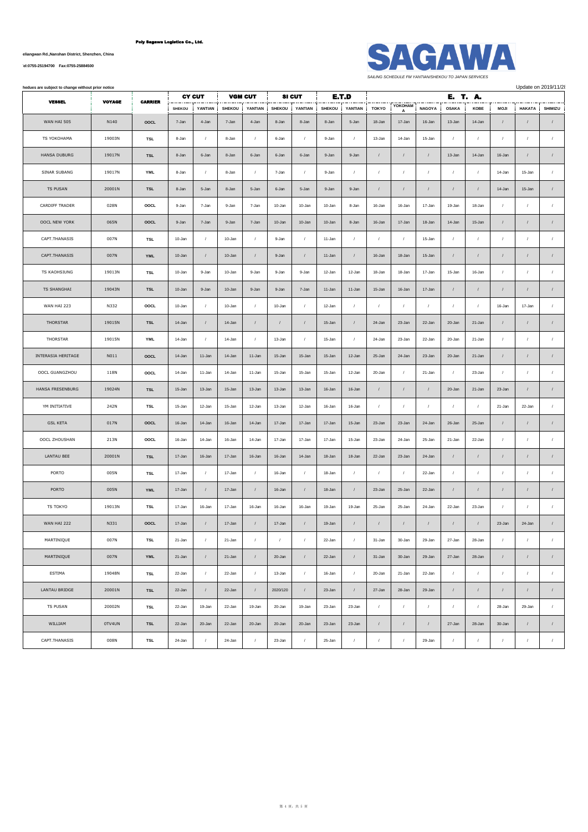**No.1007, Yueliangwan Rd.,Nanshan District, Shenzhen, China**

**[Tel:0755-25194700 Fax:0755-25884500](tel:0755-25194700    Fax:0755-25884500)**



**All belows are subject to change without prior notice** Update on 2019/11/28

| <b>VESSEL</b>       | <b>VOYAGE</b> | <b>CARRIER</b> |               | <b>CY CUT</b>  |               | <b>VGM CUT</b> |               | <b>SI CUT</b> |               | E.T.D      |                |              |                  | E. T. A.       |            |                  |               |            |
|---------------------|---------------|----------------|---------------|----------------|---------------|----------------|---------------|---------------|---------------|------------|----------------|--------------|------------------|----------------|------------|------------------|---------------|------------|
|                     |               |                | <b>SHEKOU</b> | YANTIAN        | <b>SHEKOU</b> | YANTIAN        | <b>SHEKOU</b> | YANTIAN       | <b>SHEKOU</b> | YANTIAN    | TOKYO          | YOKOHAM<br>A | <b>NAGOYA</b>    | <b>OSAKA</b>   | KOBE       | <b>MOJI</b>      | <b>HAKATA</b> | SHIMIZU    |
| WAN HAI 505         | N140          | OOCL           | 7-Jan         | 4-Jan          | 7-Jan         | 4-Jan          | 8-Jan         | 8-Jan         | 8-Jan         | 5-Jan      | 18-Jan         | 17-Jan       | 16-Jan           | 13-Jan         | 14-Jan     | $\sqrt{ }$       | $\prime$      | $\sqrt{2}$ |
| TS YOKOHAMA         | 19003N        | <b>TSL</b>     | 8-Jan         | $\prime$       | 8-Jan         | $\sqrt{ }$     | 6-Jan         | $\sqrt{2}$    | 9-Jan         | $\prime$   | 13-Jan         | 14-Jan       | 15-Jan           | $\cal I$       | $\prime$   | $\sqrt{ }$       | $\prime$      | $\sqrt{ }$ |
| <b>HANSA DUBURG</b> | 19017N        | <b>TSL</b>     | 8-Jan         | 6-Jan          | 8-Jan         | 6-Jan          | 6-Jan         | 6-Jan         | 9-Jan         | 9-Jan      | $\cal I$       | $\sqrt{ }$   | $\prime$         | 13-Jan         | 14-Jan     | 16-Jan           | $\prime$      | $\sqrt{2}$ |
| SINAR SUBANG        | 19017N        | <b>YML</b>     | 8-Jan         | $\prime$       | 8-Jan         | $\prime$       | 7-Jan         | $\sqrt{ }$    | 9-Jan         | $\prime$   | $\overline{1}$ | $\prime$     | $\sqrt{2}$       | $\sqrt{ }$     | $\prime$   | 14-Jan           | 15-Jan        | $\sqrt{2}$ |
| TS PUSAN            | 20001N        | <b>TSL</b>     | 8-Jan         | 5-Jan          | 8-Jan         | 5-Jan          | 6-Jan         | 5-Jan         | 9-Jan         | 9-Jan      | $\sqrt{2}$     | $\prime$     | $\sqrt{ }$       | $\sqrt{2}$     |            | 14-Jan           | 15-Jan        | $\sqrt{2}$ |
| CARDIFF TRADER      | 028N          | OOCL           | 9-Jan         | 7-Jan          | 9-Jan         | 7-Jan          | 10-Jan        | 10-Jan        | 10-Jan        | 8-Jan      | 16-Jan         | 16-Jan       | 17-Jan           | 19-Jan         | 18-Jan     | $\sqrt{ }$       | $\prime$      | $\sqrt{ }$ |
| OOCL NEW YORK       | 065N          | OOCL           | 9-Jan         | 7-Jan          | 9-Jan         | 7-Jan          | 10-Jan        | 10-Jan        | 10-Jan        | 8-Jan      | 16-Jan         | 17-Jan       | 18-Jan           | 14-Jan         | 15-Jan     | $\sqrt{ }$       | $\prime$      | $\sqrt{ }$ |
| CAPT.THANASIS       | 007N          | TSL            | 10-Jan        | $\prime$       | 10-Jan        | $\prime$       | 9-Jan         | $\sqrt{2}$    | 11-Jan        | $\sqrt{2}$ | $\sqrt{ }$     | $\sqrt{ }$   | 15-Jan           | $\overline{1}$ | $\prime$   | $\sqrt{ }$       | $\prime$      | $\sqrt{2}$ |
| CAPT.THANASIS       | 007N          | <b>YML</b>     | 10-Jan        | $\prime$       | 10-Jan        | $\sqrt{ }$     | 9-Jan         | $\prime$      | 11-Jan        | $\prime$   | 16-Jan         | 18-Jan       | 15-Jan           | $\sqrt{2}$     |            | $\sqrt{ }$       | $\prime$      | $\prime$   |
| TS KAOHSIUNG        | 19013N        | <b>TSL</b>     | 10-Jan        | 9-Jan          | 10-Jan        | 9-Jan          | 9-Jan         | 9-Jan         | 12-Jan        | 12-Jan     | 18-Jan         | 18-Jan       | 17-Jan           | 15-Jan         | 16-Jan     | $\boldsymbol{I}$ |               | $\prime$   |
| <b>TS SHANGHAI</b>  | 19043N        | <b>TSL</b>     | 10-Jan        | 9-Jan          | 10-Jan        | 9-Jan          | 9-Jan         | 7-Jan         | 11-Jan        | 11-Jan     | 15-Jan         | 16-Jan       | 17-Jan           | $\sqrt{2}$     | $\prime$   | $\prime$         | $\prime$      | $\sqrt{2}$ |
| WAN HAI 223         | N332          | OOCL           | 10-Jan        | $\prime$       | 10-Jan        | $\prime$       | 10-Jan        | $\sqrt{ }$    | 12-Jan        | $\prime$   | $\sqrt{ }$     | $\prime$     | $\prime$         | $\prime$       |            | 16-Jan           | 17-Jan        | $\sqrt{ }$ |
| THORSTAR            | 19015N        | <b>TSL</b>     | 14-Jan        | $\prime$       | 14-Jan        | $\prime$       | $\prime$      | $\sqrt{2}$    | 15-Jan        | $\sqrt{2}$ | 24-Jan         | 23-Jan       | 22-Jan           | 20-Jan         | 21-Jan     | $\sqrt{ }$       | $\prime$      | $\prime$   |
| THORSTAR            | 19015N        | <b>YML</b>     | 14-Jan        | $\prime$       | 14-Jan        | $\sqrt{ }$     | 13-Jan        | $\sqrt{2}$    | 15-Jan        | $\sqrt{ }$ | 24-Jan         | 23-Jan       | 22-Jan           | 20-Jan         | 21-Jan     | $\boldsymbol{I}$ |               | $\sqrt{ }$ |
| INTERASIA HERITAGE  | N011          | OOCL           | 14-Jan        | 11-Jan         | 14-Jan        | 11-Jan         | 15-Jan        | 15-Jan        | 15-Jan        | 12-Jan     | 25-Jan         | 24-Jan       | 23-Jan           | 20-Jan         | 21-Jan     | $\sqrt{ }$       | $\prime$      | $\prime$   |
| OOCL GUANGZHOU      | 118N          | OOCL           | 14-Jan        | 11-Jan         | 14-Jan        | 11-Jan         | 15-Jan        | 15-Jan        | 15-Jan        | 12-Jan     | 20-Jan         | $\prime$     | 21-Jan           | $\sqrt{2}$     | 23-Jan     | $\prime$         | $\prime$      | $\prime$   |
| HANSA FRESENBURG    | 19024N        | <b>TSL</b>     | 15-Jan        | 13-Jan         | 15-Jan        | 13-Jan         | 13-Jan        | 13-Jan        | 16-Jan        | 16-Jan     | $\prime$       | $\prime$     | $\prime$         | 20-Jan         | 21-Jan     | 23-Jan           |               | $\sqrt{2}$ |
| YM INITIATIVE       | 242N          | TSL            | 15-Jan        | 12-Jan         | 15-Jan        | 12-Jan         | 13-Jan        | 12-Jan        | 16-Jan        | 16-Jan     | $\sqrt{ }$     | $\sqrt{ }$   | $\sqrt{2}$       | $\overline{1}$ | $\prime$   | 21-Jan           | 22-Jan        | $\sqrt{2}$ |
| <b>GSL KETA</b>     | 017N          | OOCL           | 16-Jan        | 14-Jan         | 16-Jan        | 14-Jan         | 17-Jan        | 17-Jan        | 17-Jan        | 15-Jan     | 23-Jan         | 23-Jan       | 24-Jan           | 26-Jan         | 25-Jan     | $\prime$         | $\prime$      | $\sqrt{2}$ |
| OOCL ZHOUSHAN       | 213N          | OOCL           | 16-Jan        | 14-Jan         | 16-Jan        | 14-Jan         | 17-Jan        | 17-Jan        | 17-Jan        | 15-Jan     | 23-Jan         | 24-Jan       | 25-Jan           | 21-Jan         | 22-Jan     | $\sqrt{ }$       | $\prime$      | $\sqrt{ }$ |
| <b>LANTAU BEE</b>   | 20001N        | <b>TSL</b>     | 17-Jan        | 16-Jan         | 17-Jan        | 16-Jan         | 16-Jan        | 14-Jan        | 18-Jan        | 18-Jan     | 22-Jan         | 23-Jan       | 24-Jan           | $\sqrt{2}$     | $\prime$   | $\sqrt{ }$       | $\prime$      | $\sqrt{ }$ |
| PORTO               | 005N          | <b>TSL</b>     | 17-Jan        | $\prime$       | 17-Jan        | $\prime$       | 16-Jan        | $\sqrt{ }$    | 18-Jan        | $\sqrt{ }$ | $\sqrt{ }$     | $\sqrt{ }$   | 22-Jan           | $\sqrt{ }$     | $\prime$   | $\prime$         | $\prime$      | $\sqrt{ }$ |
| PORTO               | 005N          | <b>YML</b>     | 17-Jan        | $\prime$       | 17-Jan        | $\prime$       | 16-Jan        | $\sqrt{ }$    | 18-Jan        | $\prime$   | 23-Jan         | 25-Jan       | 22-Jan           | $\sqrt{ }$     |            | $\sqrt{ }$       | $\prime$      | $\sqrt{2}$ |
| TS TOKYO            | 19013N        | TSL            | 17-Jan        | 16-Jan         | 17-Jan        | 16-Jan         | 16-Jan        | 16-Jan        | 19-Jan        | 19-Jan     | 25-Jan         | 25-Jan       | 24-Jan           | 22-Jan         | 23-Jan     | $\prime$         |               | $\prime$   |
| WAN HAI 222         | N331          | OOCL           | 17-Jan        | $\prime$       | 17-Jan        | $\prime$       | 17-Jan        | $\sqrt{2}$    | 19-Jan        | $\sqrt{ }$ | $\sqrt{ }$     | $\sqrt{ }$   | $\boldsymbol{I}$ | $\cal I$       | $\prime$   | 23-Jan           | 24-Jan        | $\prime$   |
| MARTINIQUE          | 007N          | <b>TSL</b>     | 21-Jan        | $\prime$       | 21-Jan        | $\prime$       | $\prime$      | $\sqrt{2}$    | 22-Jan        | $\prime$   | 31-Jan         | 30-Jan       | 29-Jan           | 27-Jan         | 28-Jan     | $\prime$         | $\prime$      | $\prime$   |
| MARTINIQUE          | 007N          | <b>YML</b>     | 21-Jan        | $\prime$       | 21-Jan        | $\prime$       | 20-Jan        | $\sqrt{2}$    | 22-Jan        | $\sqrt{2}$ | 31-Jan         | 30-Jan       | 29-Jan           | 27-Jan         | 28-Jan     | $\prime$         | $\prime$      | $\cal I$   |
| ESTIMA              | 19048N        | <b>TSL</b>     | 22-Jan        | $\prime$       | 22-Jan        | $\sqrt{ }$     | 13-Jan        | $\sqrt{ }$    | 16-Jan        | $\sqrt{2}$ | 20-Jan         | 21-Jan       | 22-Jan           | $\cal I$       | $\sqrt{2}$ | $\sqrt{ }$       | $\prime$      | $\sqrt{ }$ |
| LANTAU BRIDGE       | 20001N        | <b>TSL</b>     | 22-Jan        | $\overline{1}$ | 22-Jan        | $\sqrt{ }$     | 2020/120      | $\sqrt{ }$    | 23-Jan        | $\sqrt{ }$ | 27-Jan         | 28-Jan       | 29-Jan           | $\overline{I}$ | $\prime$   | $\sqrt{2}$       | $\prime$      | $\cal I$   |
| TS PUSAN            | 20002N        | TSL            | 22-Jan        | 19-Jan         | 22-Jan        | 19-Jan         | 20-Jan        | 19-Jan        | 23-Jan        | 23-Jan     | $\prime$       | $\sqrt{ }$   | $\boldsymbol{I}$ | $\cal I$       | $\prime$   | 28-Jan           | 29-Jan        | $\sqrt{2}$ |
| WILLIAM             | 0TV4UN        | <b>TSL</b>     | 22-Jan        | 20-Jan         | 22-Jan        | 20-Jan         | 20-Jan        | 20-Jan        | 23-Jan        | 23-Jan     | $\sqrt{ }$     | $\sqrt{ }$   | $\prime$         | 27-Jan         | 28-Jan     | 30-Jan           | $\prime$      | $\sqrt{2}$ |
| CAPT.THANASIS       | 008N          | TSL            | 24-Jan        | $\prime$       | 24-Jan        | $\prime$       | 23-Jan        | $\sqrt{2}$    | 25-Jan        | $\prime$   | $\overline{1}$ | $\sqrt{ }$   | 29-Jan           | $\overline{1}$ | $\prime$   | $\prime$         | $\prime$      | $\prime$   |